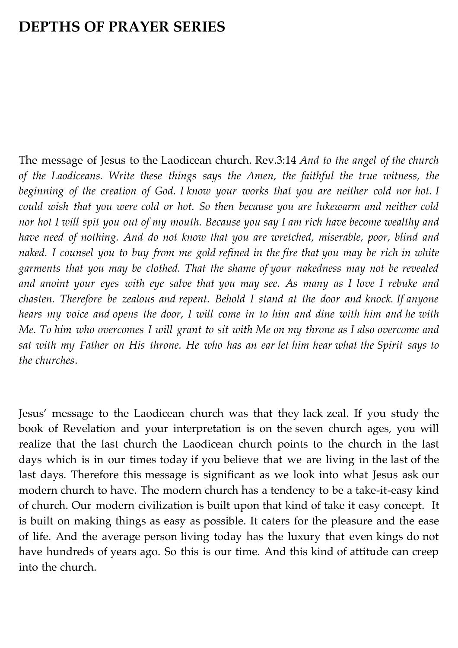# **DEPTHS OF PRAYER SERIES**

The message of Jesus to the Laodicean church. Rev.3:14 *And to the angel of the church of the Laodiceans. Write these things says the Amen, the faithful the true witness, the beginning of the creation of God. I know your works that you are neither cold nor hot. I could wish that you were cold or hot. So then because you are lukewarm and neither cold nor hot I will spit you out of my mouth. Because you say I am rich have become wealthy and have need of nothing. And do not know that you are wretched, miserable, poor, blind and naked. I counsel you to buy from me gold refined in the fire that you may be rich in white garments that you may be clothed. That the shame of your nakedness may not be revealed and anoint your eyes with eye salve that you may see. As many as I love I rebuke and chasten. Therefore be zealous and repent. Behold I stand at the door and knock. If anyone hears my voice and opens the door, I will come in to him and dine with him and he with Me. To him who overcomes I will grant to sit with Me on my throne as I also overcome and sat with my Father on His throne. He who has an ear let him hear what the Spirit says to the churches*.

Jesus' message to the Laodicean church was that they lack zeal. If you study the book of Revelation and your interpretation is on the seven church ages, you will realize that the last church the Laodicean church points to the church in the last days which is in our times today if you believe that we are living in the last of the last days. Therefore this message is significant as we look into what Jesus ask our modern church to have. The modern church has a tendency to be a take-it-easy kind of church. Our modern civilization is built upon that kind of take it easy concept. It is built on making things as easy as possible. It caters for the pleasure and the ease of life. And the average person living today has the luxury that even kings do not have hundreds of years ago. So this is our time. And this kind of attitude can creep into the church.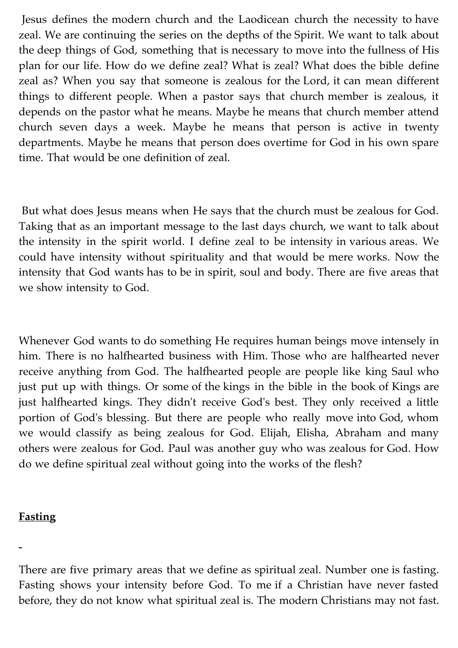Jesus defines the modern church and the Laodicean church the necessity to have zeal. We are continuing the series on the depths of the Spirit. We want to talk about the deep things of God, something that is necessary to move into the fullness of His plan for our life. How do we define zeal? What is zeal? What does the bible define zeal as? When you say that someone is zealous for the Lord, it can mean different things to different people. When a pastor says that church member is zealous, it depends on the pastor what he means. Maybe he means that church member attend church seven days a week. Maybe he means that person is active in twenty departments. Maybe he means that person does overtime for God in his own spare time. That would be one definition of zeal.

But what does Jesus means when He says that the church must be zealous for God. Taking that as an important message to the last days church, we want to talk about the intensity in the spirit world. I define zeal to be intensity in various areas. We could have intensity without spirituality and that would be mere works. Now the intensity that God wants has to be in spirit, soul and body. There are five areas that we show intensity to God.

Whenever God wants to do something He requires human beings move intensely in him. There is no halfhearted business with Him. Those who are halfhearted never receive anything from God. The halfhearted people are people like king Saul who just put up with things. Or some of the kings in the bible in the book of Kings are just halfhearted kings. They didn't receive God's best. They only received a little portion of God's blessing. But there are people who really move into God, whom we would classify as being zealous for God. Elijah, Elisha, Abraham and many others were zealous for God. Paul was another guy who was zealous for God. How do we define spiritual zeal without going into the works of the flesh?

### **Fasting**

There are five primary areas that we define as spiritual zeal. Number one is fasting. Fasting shows your intensity before God. To me if a Christian have never fasted before, they do not know what spiritual zeal is. The modern Christians may not fast.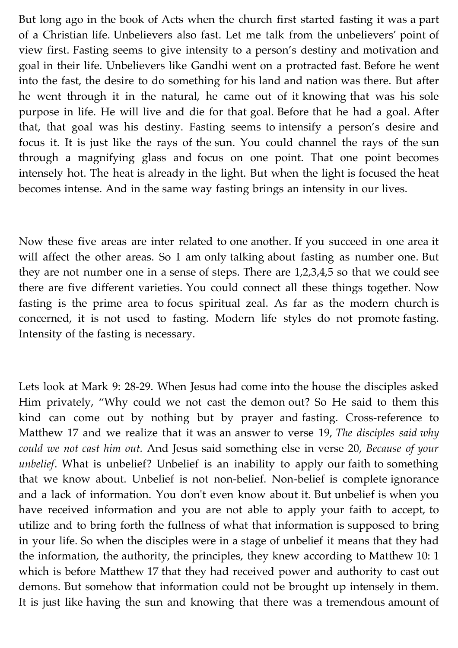But long ago in the book of Acts when the church first started fasting it was a part of a Christian life. Unbelievers also fast. Let me talk from the unbelievers' point of view first. Fasting seems to give intensity to a person's destiny and motivation and goal in their life. Unbelievers like Gandhi went on a protracted fast. Before he went into the fast, the desire to do something for his land and nation was there. But after he went through it in the natural, he came out of it knowing that was his sole purpose in life. He will live and die for that goal. Before that he had a goal. After that, that goal was his destiny. Fasting seems to intensify a person's desire and focus it. It is just like the rays of the sun. You could channel the rays of the sun through a magnifying glass and focus on one point. That one point becomes intensely hot. The heat is already in the light. But when the light is focused the heat becomes intense. And in the same way fasting brings an intensity in our lives.

Now these five areas are inter related to one another. If you succeed in one area it will affect the other areas. So I am only talking about fasting as number one. But they are not number one in a sense of steps. There are 1,2,3,4,5 so that we could see there are five different varieties. You could connect all these things together. Now fasting is the prime area to focus spiritual zeal. As far as the modern church is concerned, it is not used to fasting. Modern life styles do not promote fasting. Intensity of the fasting is necessary.

Lets look at Mark 9: 28-29. When Jesus had come into the house the disciples asked Him privately, "Why could we not cast the demon out? So He said to them this kind can come out by nothing but by prayer and fasting. Cross-reference to Matthew 17 and we realize that it was an answer to verse 19, *The disciples said why could we not cast him out.* And Jesus said something else in verse 20, *Because of your unbelief*. What is unbelief? Unbelief is an inability to apply our faith to something that we know about. Unbelief is not non-belief. Non-belief is complete ignorance and a lack of information. You don't even know about it. But unbelief is when you have received information and you are not able to apply your faith to accept, to utilize and to bring forth the fullness of what that information is supposed to bring in your life. So when the disciples were in a stage of unbelief it means that they had the information, the authority, the principles, they knew according to Matthew 10: 1 which is before Matthew 17 that they had received power and authority to cast out demons. But somehow that information could not be brought up intensely in them. It is just like having the sun and knowing that there was a tremendous amount of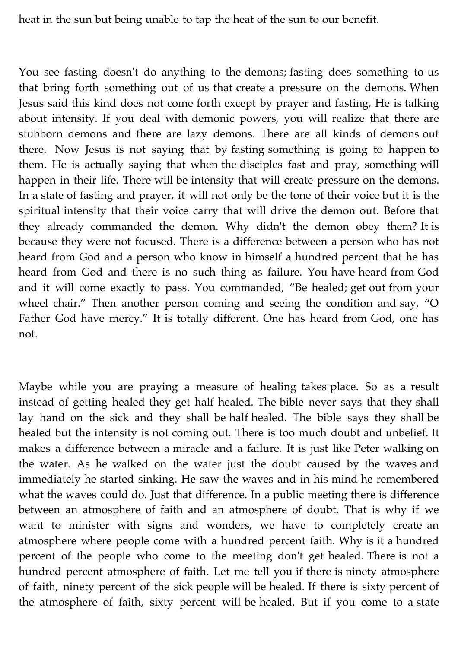heat in the sun but being unable to tap the heat of the sun to our benefit.

You see fasting doesn't do anything to the demons; fasting does something to us that bring forth something out of us that create a pressure on the demons. When Jesus said this kind does not come forth except by prayer and fasting, He is talking about intensity. If you deal with demonic powers, you will realize that there are stubborn demons and there are lazy demons. There are all kinds of demons out there. Now Jesus is not saying that by fasting something is going to happen to them. He is actually saying that when the disciples fast and pray, something will happen in their life. There will be intensity that will create pressure on the demons. In a state of fasting and prayer, it will not only be the tone of their voice but it is the spiritual intensity that their voice carry that will drive the demon out. Before that they already commanded the demon. Why didn't the demon obey them? It is because they were not focused. There is a difference between a person who has not heard from God and a person who know in himself a hundred percent that he has heard from God and there is no such thing as failure. You have heard from God and it will come exactly to pass. You commanded, "Be healed; get out from your wheel chair." Then another person coming and seeing the condition and say, "O Father God have mercy." It is totally different. One has heard from God, one has not.

Maybe while you are praying a measure of healing takes place. So as a result instead of getting healed they get half healed. The bible never says that they shall lay hand on the sick and they shall be half healed. The bible says they shall be healed but the intensity is not coming out. There is too much doubt and unbelief. It makes a difference between a miracle and a failure. It is just like Peter walking on the water. As he walked on the water just the doubt caused by the waves and immediately he started sinking. He saw the waves and in his mind he remembered what the waves could do. Just that difference. In a public meeting there is difference between an atmosphere of faith and an atmosphere of doubt. That is why if we want to minister with signs and wonders, we have to completely create an atmosphere where people come with a hundred percent faith. Why is it a hundred percent of the people who come to the meeting don't get healed. There is not a hundred percent atmosphere of faith. Let me tell you if there is ninety atmosphere of faith, ninety percent of the sick people will be healed. If there is sixty percent of the atmosphere of faith, sixty percent will be healed. But if you come to a state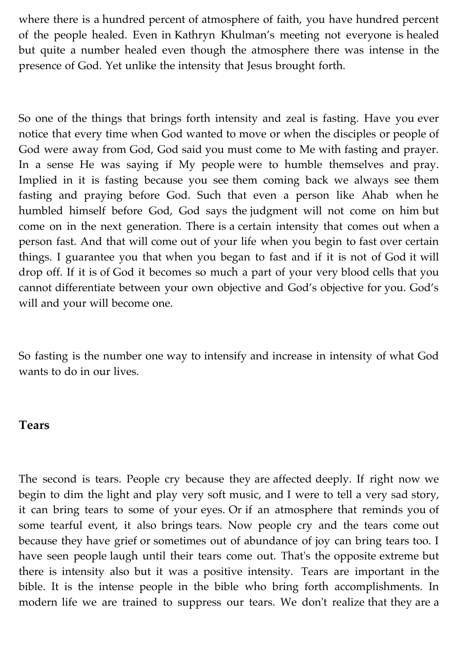where there is a hundred percent of atmosphere of faith, you have hundred percent of the people healed. Even in Kathryn Khulman's meeting not everyone is healed but quite a number healed even though the atmosphere there was intense in the presence of God. Yet unlike the intensity that Jesus brought forth.

So one of the things that brings forth intensity and zeal is fasting. Have you ever notice that every time when God wanted to move or when the disciples or people of God were away from God, God said you must come to Me with fasting and prayer. In a sense He was saying if My people were to humble themselves and pray. Implied in it is fasting because you see them coming back we always see them fasting and praying before God. Such that even a person like Ahab when he humbled himself before God, God says the judgment will not come on him but come on in the next generation. There is a certain intensity that comes out when a person fast. And that will come out of your life when you begin to fast over certain things. I guarantee you that when you began to fast and if it is not of God it will drop off. If it is of God it becomes so much a part of your very blood cells that you cannot differentiate between your own objective and God's objective for you. God's will and your will become one.

So fasting is the number one way to intensify and increase in intensity of what God wants to do in our lives.

### **Tears**

The second is tears. People cry because they are affected deeply. If right now we begin to dim the light and play very soft music, and I were to tell a very sad story, it can bring tears to some of your eyes. Or if an atmosphere that reminds you of some tearful event, it also brings tears. Now people cry and the tears come out because they have grief or sometimes out of abundance of joy can bring tears too. I have seen people laugh until their tears come out. That's the opposite extreme but there is intensity also but it was a positive intensity. Tears are important in the bible. It is the intense people in the bible who bring forth accomplishments. In modern life we are trained to suppress our tears. We don't realize that they are a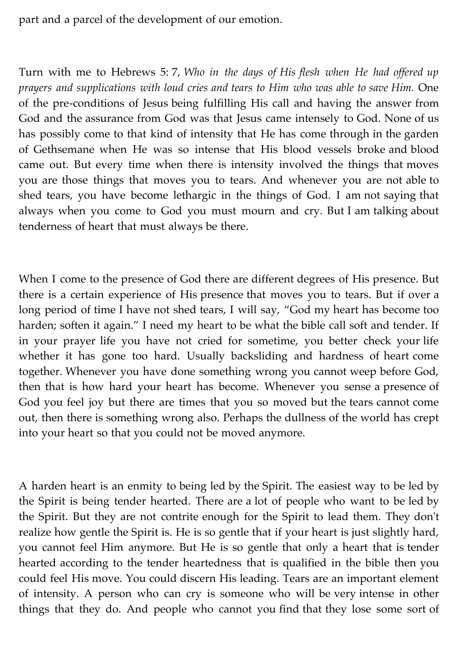part and a parcel of the development of our emotion.

Turn with me to Hebrews 5: 7, *Who in the days of His flesh when He had offered up prayers and supplications with loud cries and tears to Him who was able to save Him.* One of the pre-conditions of Jesus being fulfilling His call and having the answer from God and the assurance from God was that Jesus came intensely to God. None of us has possibly come to that kind of intensity that He has come through in the garden of Gethsemane when He was so intense that His blood vessels broke and blood came out. But every time when there is intensity involved the things that moves you are those things that moves you to tears. And whenever you are not able to shed tears, you have become lethargic in the things of God. I am not saying that always when you come to God you must mourn and cry. But I am talking about tenderness of heart that must always be there.

When I come to the presence of God there are different degrees of His presence. But there is a certain experience of His presence that moves you to tears. But if over a long period of time I have not shed tears, I will say, "God my heart has become too harden; soften it again." I need my heart to be what the bible call soft and tender. If in your prayer life you have not cried for sometime, you better check your life whether it has gone too hard. Usually backsliding and hardness of heart come together. Whenever you have done something wrong you cannot weep before God, then that is how hard your heart has become. Whenever you sense a presence of God you feel joy but there are times that you so moved but the tears cannot come out, then there is something wrong also. Perhaps the dullness of the world has crept into your heart so that you could not be moved anymore.

A harden heart is an enmity to being led by the Spirit. The easiest way to be led by the Spirit is being tender hearted. There are a lot of people who want to be led by the Spirit. But they are not contrite enough for the Spirit to lead them. They don't realize how gentle the Spirit is. He is so gentle that if your heart is just slightly hard, you cannot feel Him anymore. But He is so gentle that only a heart that is tender hearted according to the tender heartedness that is qualified in the bible then you could feel His move. You could discern His leading. Tears are an important element of intensity. A person who can cry is someone who will be very intense in other things that they do. And people who cannot you find that they lose some sort of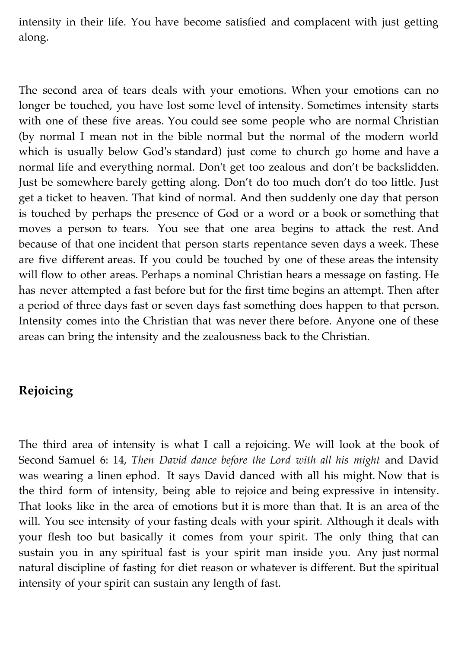intensity in their life. You have become satisfied and complacent with just getting along.

The second area of tears deals with your emotions. When your emotions can no longer be touched, you have lost some level of intensity. Sometimes intensity starts with one of these five areas. You could see some people who are normal Christian (by normal I mean not in the bible normal but the normal of the modern world which is usually below God's standard) just come to church go home and have a normal life and everything normal. Don't get too zealous and don't be backslidden. Just be somewhere barely getting along. Don't do too much don't do too little. Just get a ticket to heaven. That kind of normal. And then suddenly one day that person is touched by perhaps the presence of God or a word or a book or something that moves a person to tears. You see that one area begins to attack the rest. And because of that one incident that person starts repentance seven days a week. These are five different areas. If you could be touched by one of these areas the intensity will flow to other areas. Perhaps a nominal Christian hears a message on fasting. He has never attempted a fast before but for the first time begins an attempt. Then after a period of three days fast or seven days fast something does happen to that person. Intensity comes into the Christian that was never there before. Anyone one of these areas can bring the intensity and the zealousness back to the Christian.

## **Rejoicing**

The third area of intensity is what I call a rejoicing. We will look at the book of Second Samuel 6: 14, *Then David dance before the Lord with all his might* and David was wearing a linen ephod. It says David danced with all his might. Now that is the third form of intensity, being able to rejoice and being expressive in intensity. That looks like in the area of emotions but it is more than that. It is an area of the will. You see intensity of your fasting deals with your spirit. Although it deals with your flesh too but basically it comes from your spirit. The only thing that can sustain you in any spiritual fast is your spirit man inside you. Any just normal natural discipline of fasting for diet reason or whatever is different. But the spiritual intensity of your spirit can sustain any length of fast.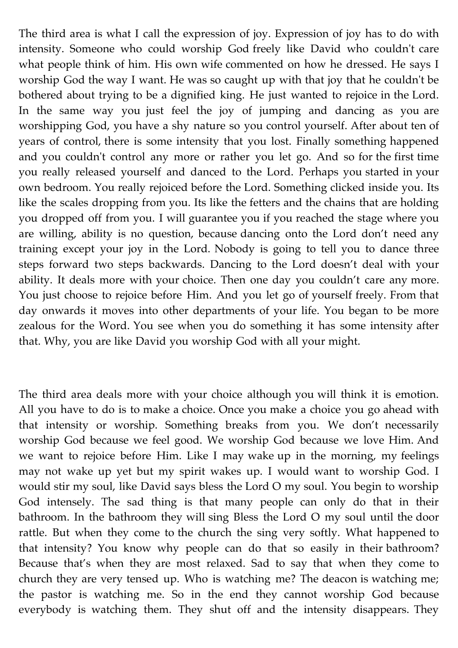The third area is what I call the expression of joy. Expression of joy has to do with intensity. Someone who could worship God freely like David who couldn't care what people think of him. His own wife commented on how he dressed. He says I worship God the way I want. He was so caught up with that joy that he couldn't be bothered about trying to be a dignified king. He just wanted to rejoice in the Lord. In the same way you just feel the joy of jumping and dancing as you are worshipping God, you have a shy nature so you control yourself. After about ten of years of control, there is some intensity that you lost. Finally something happened and you couldn't control any more or rather you let go. And so for the first time you really released yourself and danced to the Lord. Perhaps you started in your own bedroom. You really rejoiced before the Lord. Something clicked inside you. Its like the scales dropping from you. Its like the fetters and the chains that are holding you dropped off from you. I will guarantee you if you reached the stage where you are willing, ability is no question, because dancing onto the Lord don't need any training except your joy in the Lord. Nobody is going to tell you to dance three steps forward two steps backwards. Dancing to the Lord doesn't deal with your ability. It deals more with your choice. Then one day you couldn't care any more. You just choose to rejoice before Him. And you let go of yourself freely. From that day onwards it moves into other departments of your life. You began to be more zealous for the Word. You see when you do something it has some intensity after that. Why, you are like David you worship God with all your might.

The third area deals more with your choice although you will think it is emotion. All you have to do is to make a choice. Once you make a choice you go ahead with that intensity or worship. Something breaks from you. We don't necessarily worship God because we feel good. We worship God because we love Him. And we want to rejoice before Him. Like I may wake up in the morning, my feelings may not wake up yet but my spirit wakes up. I would want to worship God. I would stir my soul, like David says bless the Lord O my soul. You begin to worship God intensely. The sad thing is that many people can only do that in their bathroom. In the bathroom they will sing Bless the Lord O my soul until the door rattle. But when they come to the church the sing very softly. What happened to that intensity? You know why people can do that so easily in their bathroom? Because that's when they are most relaxed. Sad to say that when they come to church they are very tensed up. Who is watching me? The deacon is watching me; the pastor is watching me. So in the end they cannot worship God because everybody is watching them. They shut off and the intensity disappears. They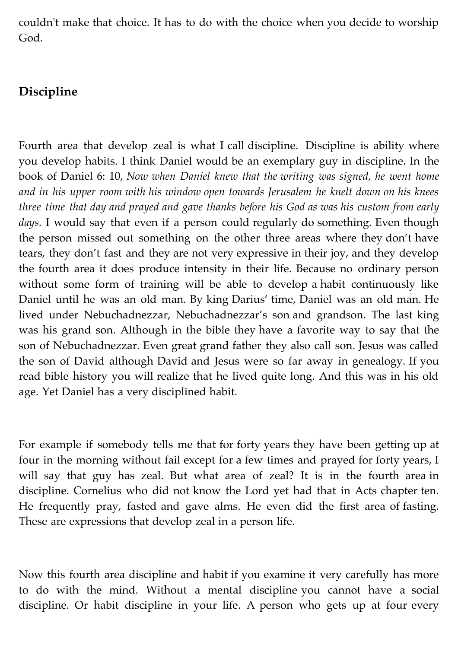couldn't make that choice. It has to do with the choice when you decide to worship God.

### **Discipline**

Fourth area that develop zeal is what I call discipline. Discipline is ability where you develop habits. I think Daniel would be an exemplary guy in discipline. In the book of Daniel 6: 10, *Now when Daniel knew that the writing was signed, he went home and in his upper room with his window open towards Jerusalem he knelt down on his knees three time that day and prayed and gave thanks before his God as was his custom from early* days. I would say that even if a person could regularly do something. Even though the person missed out something on the other three areas where they don't have tears, they don't fast and they are not very expressive in their joy, and they develop the fourth area it does produce intensity in their life. Because no ordinary person without some form of training will be able to develop a habit continuously like Daniel until he was an old man. By king Darius' time, Daniel was an old man. He lived under Nebuchadnezzar, Nebuchadnezzar's son and grandson. The last king was his grand son. Although in the bible they have a favorite way to say that the son of Nebuchadnezzar. Even great grand father they also call son. Jesus was called the son of David although David and Jesus were so far away in genealogy. If you read bible history you will realize that he lived quite long. And this was in his old age. Yet Daniel has a very disciplined habit.

For example if somebody tells me that for forty years they have been getting up at four in the morning without fail except for a few times and prayed for forty years, I will say that guy has zeal. But what area of zeal? It is in the fourth area in discipline. Cornelius who did not know the Lord yet had that in Acts chapter ten. He frequently pray, fasted and gave alms. He even did the first area of fasting. These are expressions that develop zeal in a person life.

Now this fourth area discipline and habit if you examine it very carefully has more to do with the mind. Without a mental discipline you cannot have a social discipline. Or habit discipline in your life. A person who gets up at four every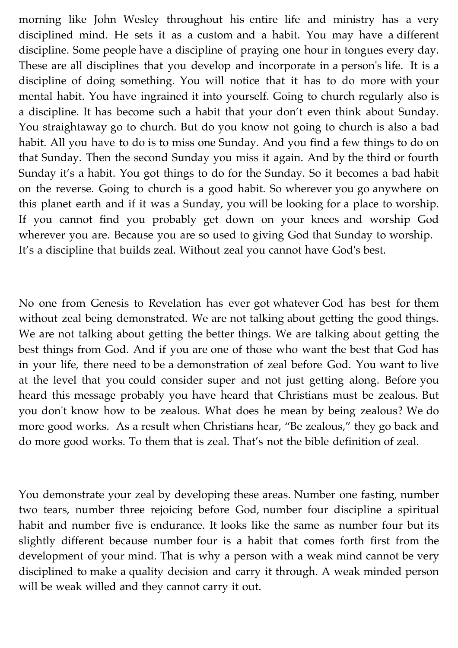morning like John Wesley throughout his entire life and ministry has a very disciplined mind. He sets it as a custom and a habit. You may have a different discipline. Some people have a discipline of praying one hour in tongues every day. These are all disciplines that you develop and incorporate in a person's life. It is a discipline of doing something. You will notice that it has to do more with your mental habit. You have ingrained it into yourself. Going to church regularly also is a discipline. It has become such a habit that your don't even think about Sunday. You straightaway go to church. But do you know not going to church is also a bad habit. All you have to do is to miss one Sunday. And you find a few things to do on that Sunday. Then the second Sunday you miss it again. And by the third or fourth Sunday it's a habit. You got things to do for the Sunday. So it becomes a bad habit on the reverse. Going to church is a good habit. So wherever you go anywhere on this planet earth and if it was a Sunday, you will be looking for a place to worship. If you cannot find you probably get down on your knees and worship God wherever you are. Because you are so used to giving God that Sunday to worship. It's a discipline that builds zeal. Without zeal you cannot have God's best.

No one from Genesis to Revelation has ever got whatever God has best for them without zeal being demonstrated. We are not talking about getting the good things. We are not talking about getting the better things. We are talking about getting the best things from God. And if you are one of those who want the best that God has in your life, there need to be a demonstration of zeal before God. You want to live at the level that you could consider super and not just getting along. Before you heard this message probably you have heard that Christians must be zealous. But you don't know how to be zealous. What does he mean by being zealous? We do more good works. As a result when Christians hear, "Be zealous," they go back and do more good works. To them that is zeal. That's not the bible definition of zeal.

You demonstrate your zeal by developing these areas. Number one fasting, number two tears, number three rejoicing before God, number four discipline a spiritual habit and number five is endurance. It looks like the same as number four but its slightly different because number four is a habit that comes forth first from the development of your mind. That is why a person with a weak mind cannot be very disciplined to make a quality decision and carry it through. A weak minded person will be weak willed and they cannot carry it out.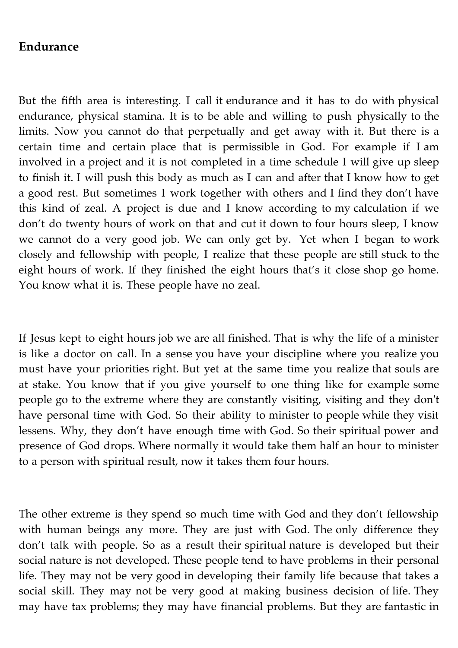### **Endurance**

But the fifth area is interesting. I call it endurance and it has to do with physical endurance, physical stamina. It is to be able and willing to push physically to the limits. Now you cannot do that perpetually and get away with it. But there is a certain time and certain place that is permissible in God. For example if I am involved in a project and it is not completed in a time schedule I will give up sleep to finish it. I will push this body as much as I can and after that I know how to get a good rest. But sometimes I work together with others and I find they don't have this kind of zeal. A project is due and I know according to my calculation if we don't do twenty hours of work on that and cut it down to four hours sleep, I know we cannot do a very good job. We can only get by. Yet when I began to work closely and fellowship with people, I realize that these people are still stuck to the eight hours of work. If they finished the eight hours that's it close shop go home. You know what it is. These people have no zeal.

If Jesus kept to eight hours job we are all finished. That is why the life of a minister is like a doctor on call. In a sense you have your discipline where you realize you must have your priorities right. But yet at the same time you realize that souls are at stake. You know that if you give yourself to one thing like for example some people go to the extreme where they are constantly visiting, visiting and they don't have personal time with God. So their ability to minister to people while they visit lessens. Why, they don't have enough time with God. So their spiritual power and presence of God drops. Where normally it would take them half an hour to minister to a person with spiritual result, now it takes them four hours.

The other extreme is they spend so much time with God and they don't fellowship with human beings any more. They are just with God. The only difference they don't talk with people. So as a result their spiritual nature is developed but their social nature is not developed. These people tend to have problems in their personal life. They may not be very good in developing their family life because that takes a social skill. They may not be very good at making business decision of life. They may have tax problems; they may have financial problems. But they are fantastic in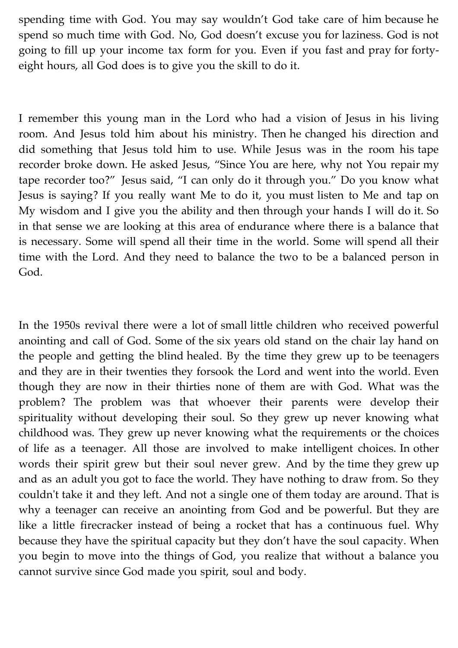spending time with God. You may say wouldn't God take care of him because he spend so much time with God. No, God doesn't excuse you for laziness. God is not going to fill up your income tax form for you. Even if you fast and pray for fortyeight hours, all God does is to give you the skill to do it.

I remember this young man in the Lord who had a vision of Jesus in his living room. And Jesus told him about his ministry. Then he changed his direction and did something that Jesus told him to use. While Jesus was in the room his tape recorder broke down. He asked Jesus, "Since You are here, why not You repair my tape recorder too?" Jesus said, "I can only do it through you." Do you know what Jesus is saying? If you really want Me to do it, you must listen to Me and tap on My wisdom and I give you the ability and then through your hands I will do it. So in that sense we are looking at this area of endurance where there is a balance that is necessary. Some will spend all their time in the world. Some will spend all their time with the Lord. And they need to balance the two to be a balanced person in God.

In the 1950s revival there were a lot of small little children who received powerful anointing and call of God. Some of the six years old stand on the chair lay hand on the people and getting the blind healed. By the time they grew up to be teenagers and they are in their twenties they forsook the Lord and went into the world. Even though they are now in their thirties none of them are with God. What was the problem? The problem was that whoever their parents were develop their spirituality without developing their soul. So they grew up never knowing what childhood was. They grew up never knowing what the requirements or the choices of life as a teenager. All those are involved to make intelligent choices. In other words their spirit grew but their soul never grew. And by the time they grew up and as an adult you got to face the world. They have nothing to draw from. So they couldn't take it and they left. And not a single one of them today are around. That is why a teenager can receive an anointing from God and be powerful. But they are like a little firecracker instead of being a rocket that has a continuous fuel. Why because they have the spiritual capacity but they don't have the soul capacity. When you begin to move into the things of God, you realize that without a balance you cannot survive since God made you spirit, soul and body.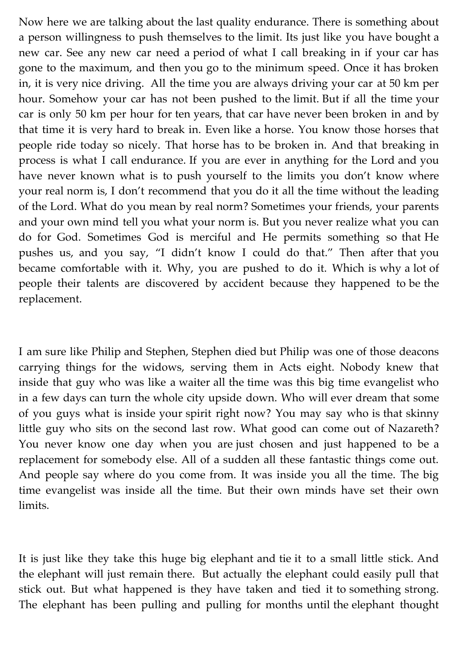Now here we are talking about the last quality endurance. There is something about a person willingness to push themselves to the limit. Its just like you have bought a new car. See any new car need a period of what I call breaking in if your car has gone to the maximum, and then you go to the minimum speed. Once it has broken in, it is very nice driving. All the time you are always driving your car at 50 km per hour. Somehow your car has not been pushed to the limit. But if all the time your car is only 50 km per hour for ten years, that car have never been broken in and by that time it is very hard to break in. Even like a horse. You know those horses that people ride today so nicely. That horse has to be broken in. And that breaking in process is what I call endurance. If you are ever in anything for the Lord and you have never known what is to push yourself to the limits you don't know where your real norm is, I don't recommend that you do it all the time without the leading of the Lord. What do you mean by real norm? Sometimes your friends, your parents and your own mind tell you what your norm is. But you never realize what you can do for God. Sometimes God is merciful and He permits something so that He pushes us, and you say, "I didn't know I could do that." Then after that you became comfortable with it. Why, you are pushed to do it. Which is why a lot of people their talents are discovered by accident because they happened to be the replacement.

I am sure like Philip and Stephen, Stephen died but Philip was one of those deacons carrying things for the widows, serving them in Acts eight. Nobody knew that inside that guy who was like a waiter all the time was this big time evangelist who in a few days can turn the whole city upside down. Who will ever dream that some of you guys what is inside your spirit right now? You may say who is that skinny little guy who sits on the second last row. What good can come out of Nazareth? You never know one day when you are just chosen and just happened to be a replacement for somebody else. All of a sudden all these fantastic things come out. And people say where do you come from. It was inside you all the time. The big time evangelist was inside all the time. But their own minds have set their own limits.

It is just like they take this huge big elephant and tie it to a small little stick. And the elephant will just remain there. But actually the elephant could easily pull that stick out. But what happened is they have taken and tied it to something strong. The elephant has been pulling and pulling for months until the elephant thought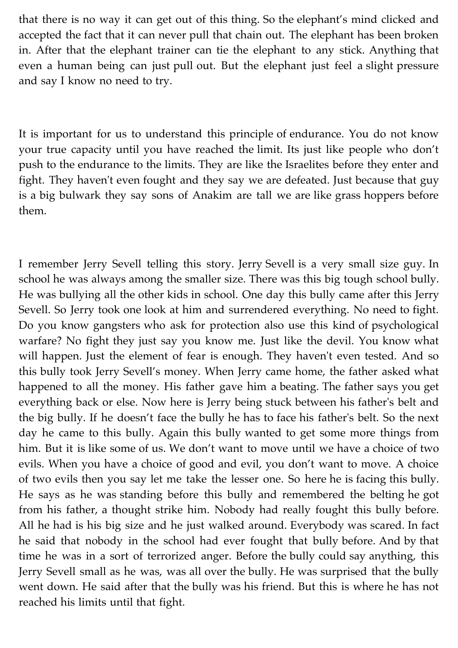that there is no way it can get out of this thing. So the elephant's mind clicked and accepted the fact that it can never pull that chain out. The elephant has been broken in. After that the elephant trainer can tie the elephant to any stick. Anything that even a human being can just pull out. But the elephant just feel a slight pressure and say I know no need to try.

It is important for us to understand this principle of endurance. You do not know your true capacity until you have reached the limit. Its just like people who don't push to the endurance to the limits. They are like the Israelites before they enter and fight. They haven't even fought and they say we are defeated. Just because that guy is a big bulwark they say sons of Anakim are tall we are like grass hoppers before them.

I remember Jerry Sevell telling this story. Jerry Sevell is a very small size guy. In school he was always among the smaller size. There was this big tough school bully. He was bullying all the other kids in school. One day this bully came after this Jerry Sevell. So Jerry took one look at him and surrendered everything. No need to fight. Do you know gangsters who ask for protection also use this kind of psychological warfare? No fight they just say you know me. Just like the devil. You know what will happen. Just the element of fear is enough. They haven't even tested. And so this bully took Jerry Sevell's money. When Jerry came home, the father asked what happened to all the money. His father gave him a beating. The father says you get everything back or else. Now here is Jerry being stuck between his father's belt and the big bully. If he doesn't face the bully he has to face his father's belt. So the next day he came to this bully. Again this bully wanted to get some more things from him. But it is like some of us. We don't want to move until we have a choice of two evils. When you have a choice of good and evil, you don't want to move. A choice of two evils then you say let me take the lesser one. So here he is facing this bully. He says as he was standing before this bully and remembered the belting he got from his father, a thought strike him. Nobody had really fought this bully before. All he had is his big size and he just walked around. Everybody was scared. In fact he said that nobody in the school had ever fought that bully before. And by that time he was in a sort of terrorized anger. Before the bully could say anything, this Jerry Sevell small as he was, was all over the bully. He was surprised that the bully went down. He said after that the bully was his friend. But this is where he has not reached his limits until that fight.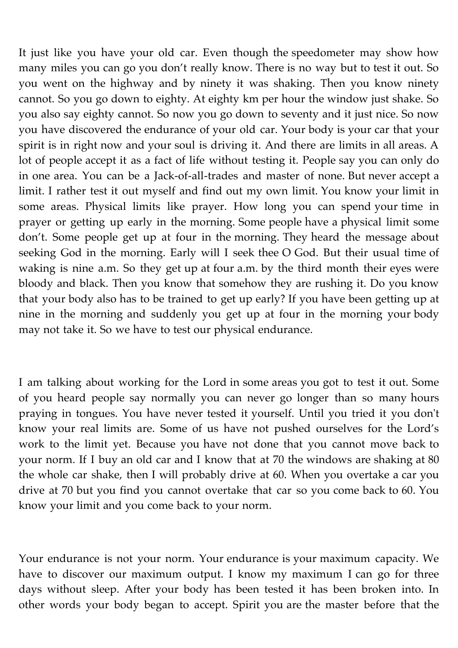It just like you have your old car. Even though the speedometer may show how many miles you can go you don't really know. There is no way but to test it out. So you went on the highway and by ninety it was shaking. Then you know ninety cannot. So you go down to eighty. At eighty km per hour the window just shake. So you also say eighty cannot. So now you go down to seventy and it just nice. So now you have discovered the endurance of your old car. Your body is your car that your spirit is in right now and your soul is driving it. And there are limits in all areas. A lot of people accept it as a fact of life without testing it. People say you can only do in one area. You can be a Jack-of-all-trades and master of none. But never accept a limit. I rather test it out myself and find out my own limit. You know your limit in some areas. Physical limits like prayer. How long you can spend your time in prayer or getting up early in the morning. Some people have a physical limit some don't. Some people get up at four in the morning. They heard the message about seeking God in the morning. Early will I seek thee O God. But their usual time of waking is nine a.m. So they get up at four a.m. by the third month their eyes were bloody and black. Then you know that somehow they are rushing it. Do you know that your body also has to be trained to get up early? If you have been getting up at nine in the morning and suddenly you get up at four in the morning your body may not take it. So we have to test our physical endurance.

I am talking about working for the Lord in some areas you got to test it out. Some of you heard people say normally you can never go longer than so many hours praying in tongues. You have never tested it yourself. Until you tried it you don't know your real limits are. Some of us have not pushed ourselves for the Lord's work to the limit yet. Because you have not done that you cannot move back to your norm. If I buy an old car and I know that at 70 the windows are shaking at 80 the whole car shake, then I will probably drive at 60. When you overtake a car you drive at 70 but you find you cannot overtake that car so you come back to 60. You know your limit and you come back to your norm.

Your endurance is not your norm. Your endurance is your maximum capacity. We have to discover our maximum output. I know my maximum I can go for three days without sleep. After your body has been tested it has been broken into. In other words your body began to accept. Spirit you are the master before that the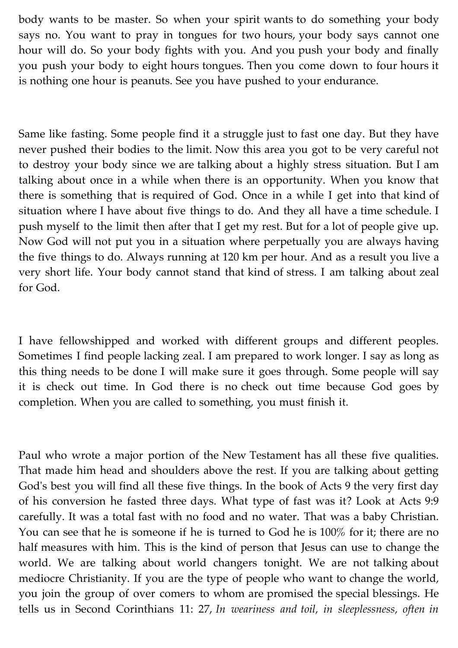body wants to be master. So when your spirit wants to do something your body says no. You want to pray in tongues for two hours, your body says cannot one hour will do. So your body fights with you. And you push your body and finally you push your body to eight hours tongues. Then you come down to four hours it is nothing one hour is peanuts. See you have pushed to your endurance.

Same like fasting. Some people find it a struggle just to fast one day. But they have never pushed their bodies to the limit. Now this area you got to be very careful not to destroy your body since we are talking about a highly stress situation. But I am talking about once in a while when there is an opportunity. When you know that there is something that is required of God. Once in a while I get into that kind of situation where I have about five things to do. And they all have a time schedule. I push myself to the limit then after that I get my rest. But for a lot of people give up. Now God will not put you in a situation where perpetually you are always having the five things to do. Always running at 120 km per hour. And as a result you live a very short life. Your body cannot stand that kind of stress. I am talking about zeal for God.

I have fellowshipped and worked with different groups and different peoples. Sometimes I find people lacking zeal. I am prepared to work longer. I say as long as this thing needs to be done I will make sure it goes through. Some people will say it is check out time. In God there is no check out time because God goes by completion. When you are called to something, you must finish it.

Paul who wrote a major portion of the New Testament has all these five qualities. That made him head and shoulders above the rest. If you are talking about getting God's best you will find all these five things. In the book of Acts 9 the very first day of his conversion he fasted three days. What type of fast was it? Look at Acts 9:9 carefully. It was a total fast with no food and no water. That was a baby Christian. You can see that he is someone if he is turned to God he is 100% for it; there are no half measures with him. This is the kind of person that Jesus can use to change the world. We are talking about world changers tonight. We are not talking about mediocre Christianity. If you are the type of people who want to change the world, you join the group of over comers to whom are promised the special blessings. He tells us in Second Corinthians 11: 27, *In weariness and toil, in sleeplessness, often in*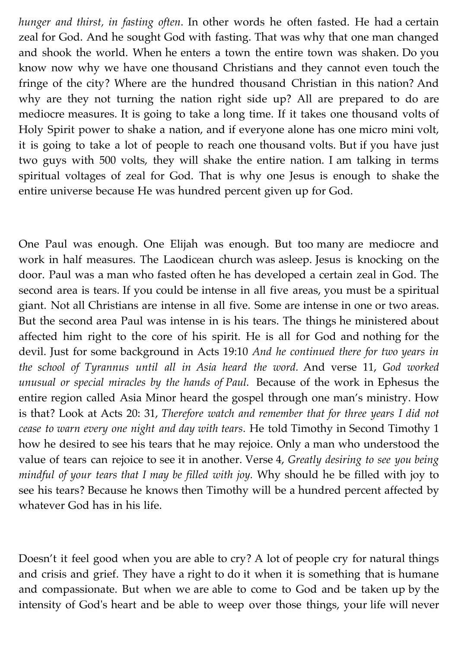*hunger and thirst, in fasting often*. In other words he often fasted. He had a certain zeal for God. And he sought God with fasting. That was why that one man changed and shook the world. When he enters a town the entire town was shaken. Do you know now why we have one thousand Christians and they cannot even touch the fringe of the city? Where are the hundred thousand Christian in this nation? And why are they not turning the nation right side up? All are prepared to do are mediocre measures. It is going to take a long time. If it takes one thousand volts of Holy Spirit power to shake a nation, and if everyone alone has one micro mini volt, it is going to take a lot of people to reach one thousand volts. But if you have just two guys with 500 volts, they will shake the entire nation. I am talking in terms spiritual voltages of zeal for God. That is why one Jesus is enough to shake the entire universe because He was hundred percent given up for God.

One Paul was enough. One Elijah was enough. But too many are mediocre and work in half measures. The Laodicean church was asleep. Jesus is knocking on the door. Paul was a man who fasted often he has developed a certain zeal in God. The second area is tears. If you could be intense in all five areas, you must be a spiritual giant. Not all Christians are intense in all five. Some are intense in one or two areas. But the second area Paul was intense in is his tears. The things he ministered about affected him right to the core of his spirit. He is all for God and nothing for the devil. Just for some background in Acts 19:10 *And he continued there for two years in the school of Tyrannus until all in Asia heard the word.* And verse 11, *God worked unusual or special miracles by the hands of Paul.* Because of the work in Ephesus the entire region called Asia Minor heard the gospel through one man's ministry. How is that? Look at Acts 20: 31, *Therefore watch and remember that for three years I did not cease to warn every one night and day with tears*. He told Timothy in Second Timothy 1 how he desired to see his tears that he may rejoice. Only a man who understood the value of tears can rejoice to see it in another. Verse 4, *Greatly desiring to see you being mindful of your tears that I may be filled with joy.* Why should he be filled with joy to see his tears? Because he knows then Timothy will be a hundred percent affected by whatever God has in his life.

Doesn't it feel good when you are able to cry? A lot of people cry for natural things and crisis and grief. They have a right to do it when it is something that is humane and compassionate. But when we are able to come to God and be taken up by the intensity of God's heart and be able to weep over those things, your life will never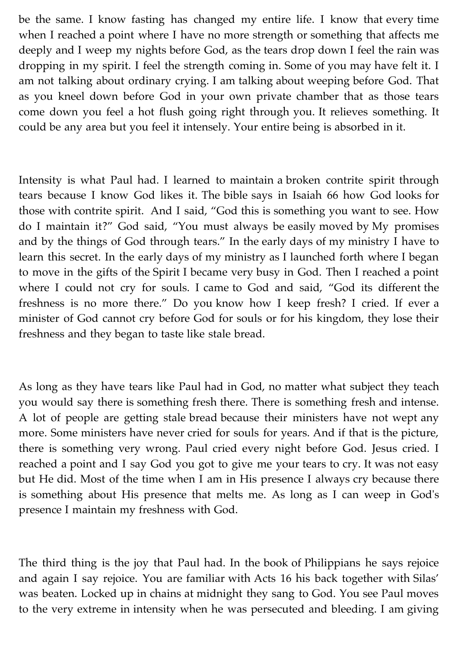be the same. I know fasting has changed my entire life. I know that every time when I reached a point where I have no more strength or something that affects me deeply and I weep my nights before God, as the tears drop down I feel the rain was dropping in my spirit. I feel the strength coming in. Some of you may have felt it. I am not talking about ordinary crying. I am talking about weeping before God. That as you kneel down before God in your own private chamber that as those tears come down you feel a hot flush going right through you. It relieves something. It could be any area but you feel it intensely. Your entire being is absorbed in it.

Intensity is what Paul had. I learned to maintain a broken contrite spirit through tears because I know God likes it. The bible says in Isaiah 66 how God looks for those with contrite spirit. And I said, "God this is something you want to see. How do I maintain it?" God said, "You must always be easily moved by My promises and by the things of God through tears." In the early days of my ministry I have to learn this secret. In the early days of my ministry as I launched forth where I began to move in the gifts of the Spirit I became very busy in God. Then I reached a point where I could not cry for souls. I came to God and said, "God its different the freshness is no more there." Do you know how I keep fresh? I cried. If ever a minister of God cannot cry before God for souls or for his kingdom, they lose their freshness and they began to taste like stale bread.

As long as they have tears like Paul had in God, no matter what subject they teach you would say there is something fresh there. There is something fresh and intense. A lot of people are getting stale bread because their ministers have not wept any more. Some ministers have never cried for souls for years. And if that is the picture, there is something very wrong. Paul cried every night before God. Jesus cried. I reached a point and I say God you got to give me your tears to cry. It was not easy but He did. Most of the time when I am in His presence I always cry because there is something about His presence that melts me. As long as I can weep in God's presence I maintain my freshness with God.

The third thing is the joy that Paul had. In the book of Philippians he says rejoice and again I say rejoice. You are familiar with Acts 16 his back together with Silas' was beaten. Locked up in chains at midnight they sang to God. You see Paul moves to the very extreme in intensity when he was persecuted and bleeding. I am giving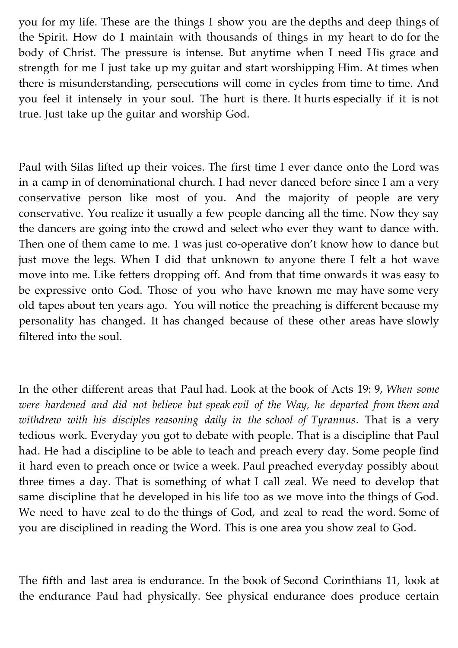you for my life. These are the things I show you are the depths and deep things of the Spirit. How do I maintain with thousands of things in my heart to do for the body of Christ. The pressure is intense. But anytime when I need His grace and strength for me I just take up my guitar and start worshipping Him. At times when there is misunderstanding, persecutions will come in cycles from time to time. And you feel it intensely in your soul. The hurt is there. It hurts especially if it is not true. Just take up the guitar and worship God.

Paul with Silas lifted up their voices. The first time I ever dance onto the Lord was in a camp in of denominational church. I had never danced before since I am a very conservative person like most of you. And the majority of people are very conservative. You realize it usually a few people dancing all the time. Now they say the dancers are going into the crowd and select who ever they want to dance with. Then one of them came to me. I was just co-operative don't know how to dance but just move the legs. When I did that unknown to anyone there I felt a hot wave move into me. Like fetters dropping off. And from that time onwards it was easy to be expressive onto God. Those of you who have known me may have some very old tapes about ten years ago. You will notice the preaching is different because my personality has changed. It has changed because of these other areas have slowly filtered into the soul.

In the other different areas that Paul had. Look at the book of Acts 19: 9, *When some were hardened and did not believe but speak evil of the Way, he departed from them and withdrew with his disciples reasoning daily in the school of Tyrannus.* That is a very tedious work. Everyday you got to debate with people. That is a discipline that Paul had. He had a discipline to be able to teach and preach every day. Some people find it hard even to preach once or twice a week. Paul preached everyday possibly about three times a day. That is something of what I call zeal. We need to develop that same discipline that he developed in his life too as we move into the things of God. We need to have zeal to do the things of God, and zeal to read the word. Some of you are disciplined in reading the Word. This is one area you show zeal to God.

The fifth and last area is endurance. In the book of Second Corinthians 11, look at the endurance Paul had physically. See physical endurance does produce certain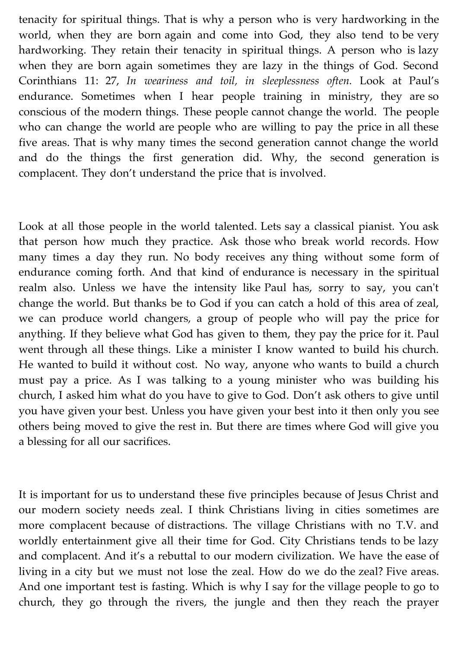tenacity for spiritual things. That is why a person who is very hardworking in the world, when they are born again and come into God, they also tend to be very hardworking. They retain their tenacity in spiritual things. A person who is lazy when they are born again sometimes they are lazy in the things of God. Second Corinthians 11: 27, *In weariness and toil, in sleeplessness often.* Look at Paul's endurance. Sometimes when I hear people training in ministry, they are so conscious of the modern things. These people cannot change the world. The people who can change the world are people who are willing to pay the price in all these five areas. That is why many times the second generation cannot change the world and do the things the first generation did. Why, the second generation is complacent. They don't understand the price that is involved.

Look at all those people in the world talented. Lets say a classical pianist. You ask that person how much they practice. Ask those who break world records. How many times a day they run. No body receives any thing without some form of endurance coming forth. And that kind of endurance is necessary in the spiritual realm also. Unless we have the intensity like Paul has, sorry to say, you can't change the world. But thanks be to God if you can catch a hold of this area of zeal, we can produce world changers, a group of people who will pay the price for anything. If they believe what God has given to them, they pay the price for it. Paul went through all these things. Like a minister I know wanted to build his church. He wanted to build it without cost. No way, anyone who wants to build a church must pay a price. As I was talking to a young minister who was building his church, I asked him what do you have to give to God. Don't ask others to give until you have given your best. Unless you have given your best into it then only you see others being moved to give the rest in. But there are times where God will give you a blessing for all our sacrifices.

It is important for us to understand these five principles because of Jesus Christ and our modern society needs zeal. I think Christians living in cities sometimes are more complacent because of distractions. The village Christians with no T.V. and worldly entertainment give all their time for God. City Christians tends to be lazy and complacent. And it's a rebuttal to our modern civilization. We have the ease of living in a city but we must not lose the zeal. How do we do the zeal? Five areas. And one important test is fasting. Which is why I say for the village people to go to church, they go through the rivers, the jungle and then they reach the prayer